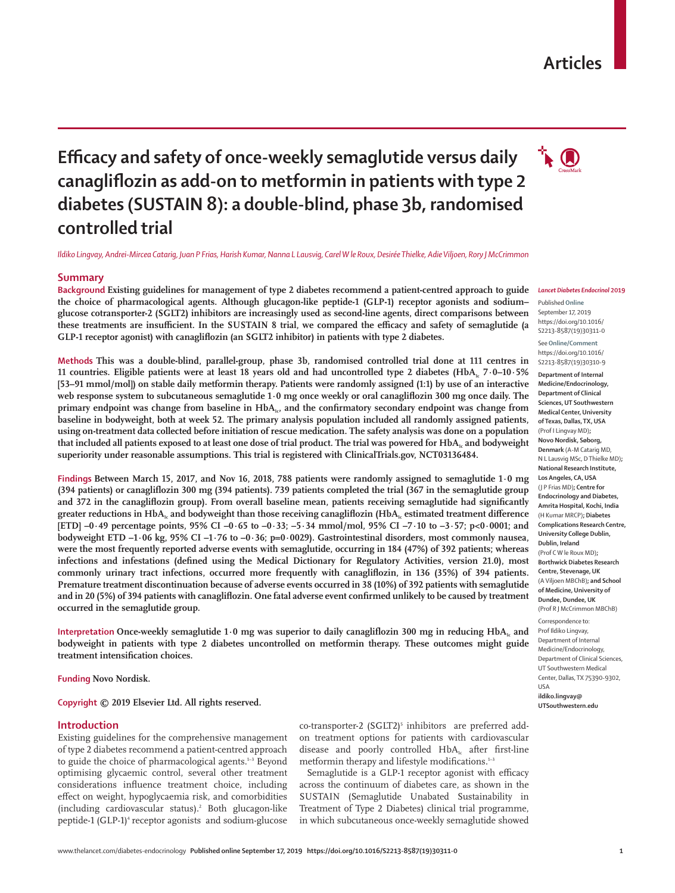# **Articles**

# TO **Efficacy and safety of once-weekly semaglutide versus daily canagliflozin as add-on to metformin in patients with type 2 diabetes (SUSTAIN 8): a double-blind, phase 3b, randomised controlled trial**

*Ildiko Lingvay, Andrei-Mircea Catarig, Juan P Frias, Harish Kumar, Nanna L Lausvig, Carel W le Roux, Desirée Thielke, Adie Viljoen, Rory J McCrimmon*

# **Summary**

**Background Existing guidelines for management of type 2 diabetes recommend a patient-centred approach to guide the choice of pharmacological agents. Although glucagon-like peptide-1 (GLP-1) receptor agonists and sodium– glucose cotransporter-2 (SGLT2) inhibitors are increasingly used as second-line agents, direct comparisons between these treatments are insufficient. In the SUSTAIN 8 trial, we compared the efficacy and safety of semaglutide (a GLP-1 receptor agonist) with canagliflozin (an SGLT2 inhibitor) in patients with type 2 diabetes.**

**Methods This was a double-blind, parallel-group, phase 3b, randomised controlled trial done at 111 centres in**  11 countries. Eligible patients were at least 18 years old and had uncontrolled type 2 diabetes (HbA<sub>1c</sub> 7·0–10·5% **[53–91 mmol/mol]) on stable daily metformin therapy. Patients were randomly assigned (1:1) by use of an interactive web response system to subcutaneous semaglutide 1·0 mg once weekly or oral canagliflozin 300 mg once daily. The primary endpoint was change from baseline in HbA<sub>1c</sub>, and the confirmatory secondary endpoint was change from baseline in bodyweight, both at week 52. The primary analysis population included all randomly assigned patients, using on-treatment data collected before initiation of rescue medication. The safety analysis was done on a population**  that included all patients exposed to at least one dose of trial product. The trial was powered for HbA<sub>1c</sub> and bodyweight **superiority under reasonable assumptions. This trial is registered with ClinicalTrials.gov, NCT03136484.**

**Findings Between March 15, 2017, and Nov 16, 2018, 788 patients were randomly assigned to semaglutide 1·0 mg (394 patients) or canagliflozin 300 mg (394 patients). 739 patients completed the trial (367 in the semaglutide group and 372 in the canagliflozin group). From overall baseline mean, patients receiving semaglutide had significantly**  greater reductions in HbA<sub>1c</sub> and bodyweight than those receiving canagliflozin (HbA<sub>1c</sub> estimated treatment difference **[ETD] –0·49 percentage points, 95% CI –0·65 to –0·33; –5·34 mmol/mol, 95% CI –7·10 to –3·57; p<0·0001; and bodyweight ETD –1·06 kg, 95% CI –1·76 to –0·36; p=0·0029). Gastrointestinal disorders, most commonly nausea, were the most frequently reported adverse events with semaglutide, occurring in 184 (47%) of 392 patients; whereas infections and infestations (defined using the Medical Dictionary for Regulatory Activities, version 21.0), most commonly urinary tract infections, occurred more frequently with canagliflozin, in 136 (35%) of 394 patients. Premature treatment discontinuation because of adverse events occurred in 38 (10%) of 392 patients with semaglutide and in 20 (5%) of 394 patients with canagliflozin. One fatal adverse event confirmed unlikely to be caused by treatment occurred in the semaglutide group.**

**Interpretation Once-weekly semaglutide 1·0 mg was superior to daily canagliflozin 300 mg in reducing HbA<sub>1c</sub> and bodyweight in patients with type 2 diabetes uncontrolled on metformin therapy. These outcomes might guide treatment intensification choices.**

**Funding Novo Nordisk.**

**Copyright © 2019 Elsevier Ltd. All rights reserved.**

# **Introduction**

Existing guidelines for the comprehensive management of type 2 diabetes recommend a patient-centred approach to guide the choice of pharmacological agents.<sup>1-3</sup> Beyond optimising glycaemic control, several other treatment considerations influence treatment choice, including effect on weight, hypoglycaemia risk, and comorbidities (including cardiovascular status).<sup>2</sup> Both glucagon-like peptide-1 (GLP-1)<sup>4</sup> receptor agonists and sodium-glucose

co-transporter-2 (SGLT2)<sup>5</sup> inhibitors are preferred addon treatment options for patients with cardiovascular disease and poorly controlled  $HbA<sub>1c</sub>$  after first-line metformin therapy and lifestyle modifications.<sup>1-3</sup>

Semaglutide is a GLP-1 receptor agonist with efficacy across the continuum of diabetes care, as shown in the SUSTAIN (Semaglutide Unabated Sustainability in Treatment of Type 2 Diabetes) clinical trial programme, in which subcutaneous once-weekly semaglutide showed

#### *Lancet Diabetes Endocrinol* **2019**

Published **Online** September 17, 2019 https://doi.org/10.1016/ S2213-8587(19)30311-0

See**Online/Comment** https://doi.org/10.1016/ S2213-8587(19)30310-9

**Department of Internal Medicine/Endocrinology, Department of Clinical Sciences, UT Southwestern Medical Center, University of Texas, Dallas, TX, USA**  (Prof I Lingvay MD)**; Novo Nordisk, Søborg, Denmark** (A-M Catarig MD, N L Lausvig MSc, D Thielke MD)**; National Research Institute, Los Angeles, CA, USA** (J P Frias MD)**; Centre for Endocrinology and Diabetes, Amrita Hospital, Kochi, India**  (H Kumar MRCP)**; Diabetes Complications Research Centre, University College Dublin, Dublin, Ireland**  (Prof C W le Roux MD)**; Borthwick Diabetes Research Centre, Stevenage, UK**  (A Viljoen MBChB)**; and School of Medicine, University of Dundee, Dundee, UK**  (Prof R J McCrimmon MBChB)

Correspondence to: Prof Ildiko Lingvay, Department of Internal Medicine/Endocrinology, Department of Clinical Sciences, UT Southwestern Medical Center, Dallas, TX 75390-9302, USA

**ildiko.lingvay@ UTSouthwestern.edu**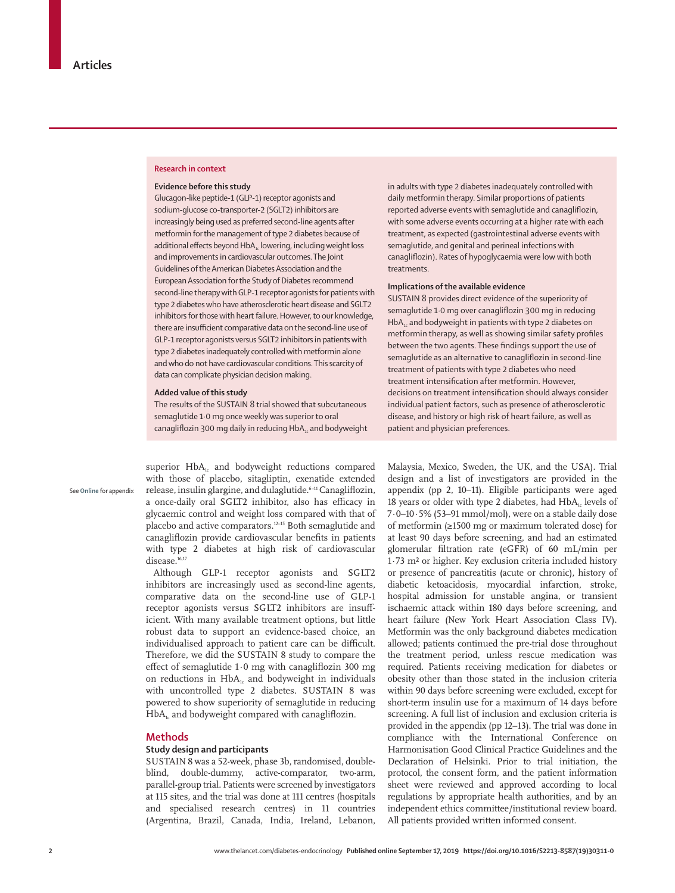#### **Research in context**

#### **Evidence before this study**

Glucagon-like peptide-1 (GLP-1) receptor agonists and sodium-glucose co-transporter-2 (SGLT2) inhibitors are increasingly being used as preferred second-line agents after metformin for the management of type 2 diabetes because of additional effects beyond HbA<sub>1c</sub> lowering, including weight loss and improvements in cardiovascular outcomes. The Joint Guidelines of the American Diabetes Association and the European Association for the Study of Diabetes recommend second-line therapy with GLP-1 receptor agonists for patients with type 2 diabetes who have atherosclerotic heart disease and SGLT2 inhibitors for those with heart failure. However, to our knowledge, there are insufficient comparative data on the second-line use of GLP-1 receptor agonists versus SGLT2 inhibitors in patients with type 2 diabetes inadequately controlled with metformin alone and who do not have cardiovascular conditions. This scarcity of data can complicate physician decision making.

# **Added value of this study**

The results of the SUSTAIN 8 trial showed that subcutaneous semaglutide 1·0 mg once weekly was superior to oral canagliflozin 300 mg daily in reducing HbA<sub>1c</sub> and bodyweight

superior  $HbA_{1c}$  and bodyweight reductions compared with those of placebo, sitagliptin, exenatide extended release, insulin glargine, and dulaglutide.<sup>6-11</sup> Canagliflozin, a once-daily oral SGLT2 inhibitor, also has efficacy in glycaemic control and weight loss compared with that of placebo and active comparators.12–15 Both semaglutide and canagliflozin provide cardiovascular benefits in patients with type 2 diabetes at high risk of cardiovascular disease.<sup>16,17</sup>

Although GLP-1 receptor agonists and SGLT2 inhibitors are increasingly used as second-line agents, comparative data on the second-line use of GLP-1 receptor agonists versus SGLT2 inhibitors are insufficient. With many available treatment options, but little robust data to support an evidence-based choice, an individualised approach to patient care can be difficult. Therefore, we did the SUSTAIN 8 study to compare the effect of semaglutide 1·0 mg with canagliflozin 300 mg on reductions in  $HbA<sub>1c</sub>$  and bodyweight in individuals with uncontrolled type 2 diabetes. SUSTAIN 8 was powered to show superiority of semaglutide in reducing  $HbA<sub>1c</sub>$  and bodyweight compared with canagliflozin.

# **Methods**

### **Study design and participants**

SUSTAIN 8 was a 52-week, phase 3b, randomised, doubleblind, double-dummy, active-comparator, two-arm, parallel-group trial. Patients were screened by investigators at 115 sites, and the trial was done at 111 centres (hospitals and specialised research centres) in 11 countries (Argentina, Brazil, Canada, India, Ireland, Lebanon, in adults with type 2 diabetes inadequately controlled with daily metformin therapy. Similar proportions of patients reported adverse events with semaglutide and canagliflozin, with some adverse events occurring at a higher rate with each treatment, as expected (gastrointestinal adverse events with semaglutide, and genital and perineal infections with canagliflozin). Rates of hypoglycaemia were low with both treatments.

### **Implications of the available evidence**

SUSTAIN 8 provides direct evidence of the superiority of semaglutide 1·0 mg over canagliflozin 300 mg in reducing HbA<sub>1c</sub> and bodyweight in patients with type 2 diabetes on metformin therapy, as well as showing similar safety profiles between the two agents. These findings support the use of semaglutide as an alternative to canagliflozin in second-line treatment of patients with type 2 diabetes who need treatment intensification after metformin. However, decisions on treatment intensification should always consider individual patient factors, such as presence of atherosclerotic disease, and history or high risk of heart failure, as well as patient and physician preferences.

Malaysia, Mexico, Sweden, the UK, and the USA). Trial design and a list of investigators are provided in the appendix (pp 2, 10–11). Eligible participants were aged 18 years or older with type 2 diabetes, had  $HbA<sub>1c</sub>$  levels of 7·0–10·5% (53–91 mmol/mol), were on a stable daily dose of metformin (≥1500 mg or maximum tolerated dose) for at least 90 days before screening, and had an estimated glomerular filtration rate (eGFR) of 60 mL/min per 1·73 m² or higher. Key exclusion criteria included history or presence of pancreatitis (acute or chronic), history of diabetic ketoacidosis, myocardial infarction, stroke, hospital admission for unstable angina, or transient ischaemic attack within 180 days before screening, and heart failure (New York Heart Association Class IV). Metformin was the only background diabetes medication allowed; patients continued the pre-trial dose throughout the treatment period, unless rescue medication was required. Patients receiving medication for diabetes or obesity other than those stated in the inclusion criteria within 90 days before screening were excluded, except for short-term insulin use for a maximum of 14 days before screening. A full list of inclusion and exclusion criteria is provided in the appendix (pp 12–13). The trial was done in compliance with the International Conference on Harmonisation Good Clinical Practice Guidelines and the Declaration of Helsinki. Prior to trial initiation, the protocol, the consent form, and the patient information sheet were reviewed and approved according to local regulations by appropriate health authorities, and by an independent ethics committee/institutional review board. All patients provided written informed consent.

See **Online** for appendix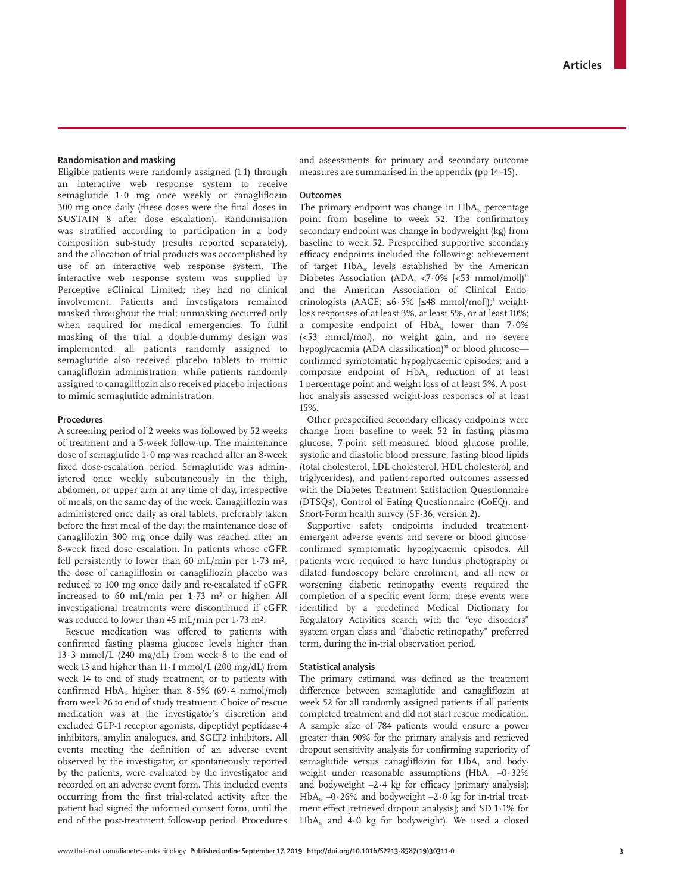# **Randomisation and masking**

Eligible patients were randomly assigned (1:1) through an interactive web response system to receive semaglutide 1·0 mg once weekly or canagliflozin 300 mg once daily (these doses were the final doses in SUSTAIN 8 after dose escalation). Randomisation was stratified according to participation in a body composition sub-study (results reported separately), and the allocation of trial products was accomplished by use of an interactive web response system. The interactive web response system was supplied by Perceptive eClinical Limited; they had no clinical involvement. Patients and investigators remained masked throughout the trial; unmasking occurred only when required for medical emergencies. To fulfil masking of the trial, a double-dummy design was implemented: all patients randomly assigned to semaglutide also received placebo tablets to mimic canagliflozin administration, while patients randomly assigned to canagliflozin also received placebo injections to mimic semaglutide administration.

## **Procedures**

A screening period of 2 weeks was followed by 52 weeks of treatment and a 5-week follow-up. The maintenance dose of semaglutide 1·0 mg was reached after an 8-week fixed dose-escalation period. Semaglutide was administered once weekly subcutaneously in the thigh, abdomen, or upper arm at any time of day, irrespective of meals, on the same day of the week. Canagliflozin was administered once daily as oral tablets, preferably taken before the first meal of the day; the maintenance dose of canaglifozin 300 mg once daily was reached after an 8-week fixed dose escalation. In patients whose eGFR fell persistently to lower than 60 mL/min per 1·73 m², the dose of canagliflozin or canagliflozin placebo was reduced to 100 mg once daily and re-escalated if eGFR increased to 60 mL/min per 1·73 m² or higher. All investigational treatments were discontinued if eGFR was reduced to lower than 45 mL/min per 1·73 m².

Rescue medication was offered to patients with confirmed fasting plasma glucose levels higher than 13·3 mmol/L (240 mg/dL) from week 8 to the end of week 13 and higher than 11·1 mmol/L (200 mg/dL) from week 14 to end of study treatment, or to patients with confirmed  $HbA<sub>1c</sub>$  higher than 8.5% (69.4 mmol/mol) from week 26 to end of study treatment. Choice of rescue medication was at the investigator's discretion and excluded GLP-1 receptor agonists, dipeptidyl peptidase-4 inhibitors, amylin analogues, and SGLT2 inhibitors. All events meeting the definition of an adverse event observed by the investigator, or spontaneously reported by the patients, were evaluated by the investigator and recorded on an adverse event form. This included events occurring from the first trial-related activity after the patient had signed the informed consent form, until the end of the post-treatment follow-up period. Procedures

and assessments for primary and secondary outcome measures are summarised in the appendix (pp 14–15).

# **Outcomes**

The primary endpoint was change in  $HbA<sub>1c</sub>$  percentage point from baseline to week 52. The confirmatory secondary endpoint was change in bodyweight (kg) from baseline to week 52. Prespecified supportive secondary efficacy endpoints included the following: achievement of target  $HbA_{1c}$  levels established by the American Diabetes Association (ADA; <7.0% [<53 mmol/mol])<sup>18</sup> and the American Association of Clinical Endocrinologists (AACE; ≤6⋅5% [≤48 mmol/mol]);<sup>1</sup> weightloss responses of at least 3%, at least 5%, or at least 10%; a composite endpoint of  $HbA_1c$  lower than 7.0% (<53 mmol/mol), no weight gain, and no severe hypoglycaemia (ADA classification)<sup>18</sup> or blood glucose confirmed symptomatic hypoglycaemic episodes; and a composite endpoint of HbA<sub>1c</sub> reduction of at least 1 percentage point and weight loss of at least 5%. A posthoc analysis assessed weight-loss responses of at least 15%.

Other prespecified secondary efficacy endpoints were change from baseline to week 52 in fasting plasma glucose, 7-point self-measured blood glucose profile, systolic and diastolic blood pressure, fasting blood lipids (total cholesterol, LDL cholesterol, HDL cholesterol, and triglycerides), and patient-reported outcomes assessed with the Diabetes Treatment Satisfaction Questionnaire (DTSQs), Control of Eating Questionnaire (CoEQ), and Short-Form health survey (SF-36, version 2).

Supportive safety endpoints included treatmentemergent adverse events and severe or blood glucoseconfirmed symptomatic hypoglycaemic episodes. All patients were required to have fundus photography or dilated fundoscopy before enrolment, and all new or worsening diabetic retinopathy events required the completion of a specific event form; these events were identified by a predefined Medical Dictionary for Regulatory Activities search with the "eye disorders" system organ class and "diabetic retinopathy" preferred term, during the in-trial observation period.

# **Statistical analysis**

The primary estimand was defined as the treatment difference between semaglutide and canagliflozin at week 52 for all randomly assigned patients if all patients completed treatment and did not start rescue medication. A sample size of 784 patients would ensure a power greater than 90% for the primary analysis and retrieved dropout sensitivity analysis for confirming superiority of semaglutide versus canagliflozin for  $HbA_1c$  and bodyweight under reasonable assumptions (HbA<sub>1c</sub>  $-0.32\%$ and bodyweight –2·4 kg for efficacy [primary analysis]; HbA<sub>1c</sub> –0.26% and bodyweight –2.0 kg for in-trial treatment effect [retrieved dropout analysis]; and SD 1·1% for  $HbA<sub>1c</sub>$  and 4.0 kg for bodyweight). We used a closed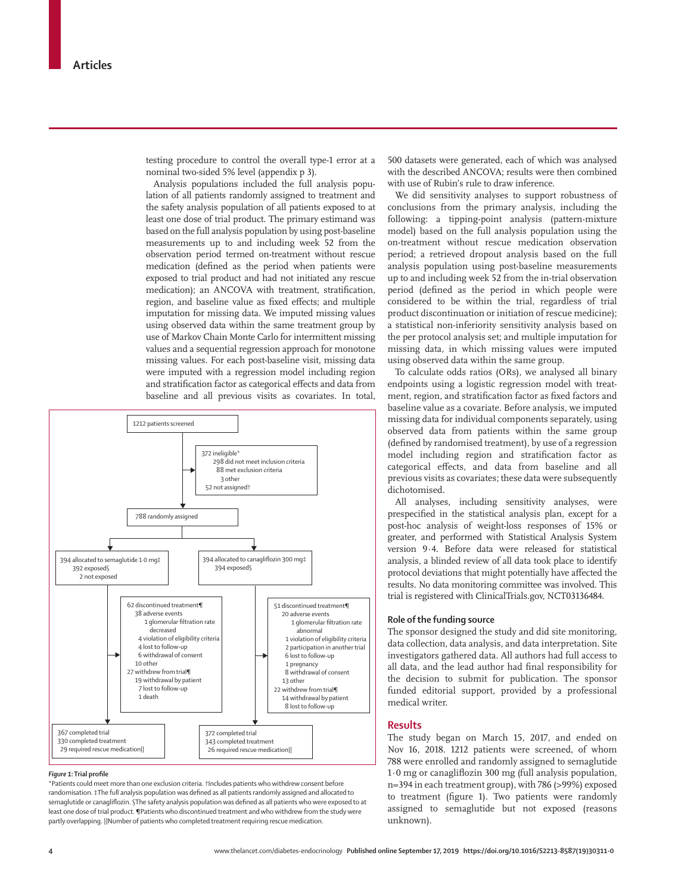testing procedure to control the overall type-1 error at a nominal two-sided 5% level (appendix p 3).

Analysis populations included the full analysis population of all patients randomly assigned to treatment and the safety analysis population of all patients exposed to at least one dose of trial product. The primary estimand was based on the full analysis population by using post-baseline measurements up to and including week 52 from the observation period termed on-treatment without rescue medication (defined as the period when patients were exposed to trial product and had not initiated any rescue medication); an ANCOVA with treatment, stratification, region, and baseline value as fixed effects; and multiple imputation for missing data. We imputed missing values using observed data within the same treatment group by use of Markov Chain Monte Carlo for intermittent missing values and a sequential regression approach for monotone missing values. For each post-baseline visit, missing data were imputed with a regression model including region and stratification factor as categorical effects and data from baseline and all previous visits as covariates. In total,



### *Figure 1:* **Trial profile**

\*Patients could meet more than one exclusion criteria. †Includes patients who withdrew consent before randomisation. ‡The full analysis population was defined as all patients randomly assigned and allocated to semaglutide or canagliflozin. §The safety analysis population was defined as all patients who were exposed to at least one dose of trial product. ¶Patients who discontinued treatment and who withdrew from the study were partly overlapping. ||Number of patients who completed treatment requiring rescue medication.

500 datasets were generated, each of which was analysed with the described ANCOVA; results were then combined with use of Rubin's rule to draw inference.

We did sensitivity analyses to support robustness of conclusions from the primary analysis, including the following: a tipping-point analysis (pattern-mixture model) based on the full analysis population using the on-treatment without rescue medication observation period; a retrieved dropout analysis based on the full analysis population using post-baseline measurements up to and including week 52 from the in-trial observation period (defined as the period in which people were considered to be within the trial, regardless of trial product discontinuation or initiation of rescue medicine); a statistical non-inferiority sensitivity analysis based on the per protocol analysis set; and multiple imputation for missing data, in which missing values were imputed using observed data within the same group.

To calculate odds ratios (ORs), we analysed all binary endpoints using a logistic regression model with treatment, region, and stratification factor as fixed factors and baseline value as a covariate. Before analysis, we imputed missing data for individual components separately, using observed data from patients within the same group (defined by randomised treatment), by use of a regression model including region and stratification factor as categorical effects, and data from baseline and all previous visits as covariates; these data were subsequently dichotomised.

All analyses, including sensitivity analyses, were prespecified in the statistical analysis plan, except for a post-hoc analysis of weight-loss responses of 15% or greater, and performed with Statistical Analysis System version 9·4. Before data were released for statistical analysis, a blinded review of all data took place to identify protocol deviations that might potentially have affected the results. No data monitoring committee was involved. This trial is registered with ClinicalTrials.gov, NCT03136484.

# **Role of the funding source**

The sponsor designed the study and did site monitoring, data collection, data analysis, and data interpretation. Site investigators gathered data. All authors had full access to all data, and the lead author had final responsibility for the decision to submit for publication. The sponsor funded editorial support, provided by a professional medical writer.

# **Results**

The study began on March 15, 2017, and ended on Nov 16, 2018. 1212 patients were screened, of whom 788 were enrolled and randomly assigned to semaglutide 1·0 mg or canagliflozin 300 mg (full analysis population, n=394 in each treatment group), with 786 (>99%) exposed to treatment (figure 1). Two patients were randomly assigned to semaglutide but not exposed (reasons unknown).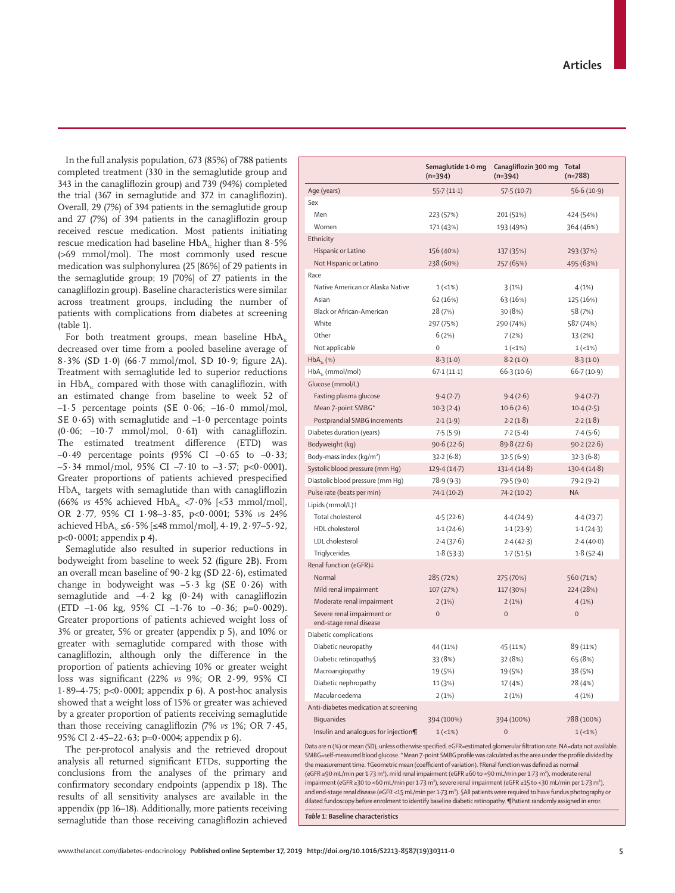In the full analysis population, 673 (85%) of 788 patients completed treatment (330 in the semaglutide group and 343 in the canagliflozin group) and 739 (94%) completed the trial (367 in semaglutide and 372 in canagliflozin). Overall, 29 (7%) of 394 patients in the semaglutide group and 27 (7%) of 394 patients in the canagliflozin group received rescue medication. Most patients initiating rescue medication had baseline  $HbA<sub>i</sub>$  higher than 8.5% (>69 mmol/mol). The most commonly used rescue medication was sulphonylurea (25 [86%] of 29 patients in the semaglutide group; 19 [70%] of 27 patients in the canagliflozin group). Baseline characteristics were similar across treatment groups, including the number of patients with complications from diabetes at screening (table 1).

For both treatment groups, mean baseline  $HbA_{1c}$ decreased over time from a pooled baseline average of 8·3% (SD 1·0) (66·7 mmol/mol, SD 10·9; figure 2A). Treatment with semaglutide led to superior reductions in HbA<sub>1</sub> compared with those with canagliflozin, with an estimated change from baseline to week 52 of  $-1.5$  percentage points (SE 0.06;  $-16.0$  mmol/mol, SE  $0.65$ ) with semaglutide and  $-1.0$  percentage points  $(0.06; -10.7 \text{ mmol/mol}, 0.61)$  with canagliflozin. The estimated treatment difference (ETD) was  $-0.49$  percentage points (95% CI  $-0.65$  to  $-0.33$ ;  $-5.34$  mmol/mol, 95% CI  $-7.10$  to  $-3.57$ ; p<0.0001). Greater proportions of patients achieved prespecified  $\rm HbA_{\sc i}$  targets with semaglutide than with canagliflozin (66% *vs* 45% achieved HbA<sub>1c</sub> <7.0% [<53 mmol/mol], OR 2·77, 95% CI 1·98–3·85, p<0·0001; 53% *vs* 24% achieved HbA<sub>1c</sub> ≤6·5% [≤48 mmol/mol], 4·19, 2·97–5·92,  $p<0.0001$ ; appendix p 4).

Semaglutide also resulted in superior reductions in bodyweight from baseline to week 52 (figure 2B). From an overall mean baseline of 90·2 kg (SD 22·6), estimated change in bodyweight was  $-5.3$  kg (SE 0.26) with semaglutide and  $-4.2$  kg (0.24) with canagliflozin (ETD  $-1.06$  kg, 95% CI  $-1.76$  to  $-0.36$ ; p=0.0029). Greater proportions of patients achieved weight loss of 3% or greater, 5% or greater (appendix p 5), and 10% or greater with semaglutide compared with those with canagliflozin, although only the difference in the proportion of patients achieving 10% or greater weight loss was significant (22% *vs* 9%; OR 2·99, 95% CI 1·89–4·75; p< $0.0001$ ; appendix p 6). A post-hoc analysis showed that a weight loss of 15% or greater was achieved by a greater proportion of patients receiving semaglutide than those receiving canagliflozin (7% *vs* 1%; OR 7·45, 95% CI 2·45–22·63; p=0·0004; appendix p 6).

The per-protocol analysis and the retrieved dropout analysis all returned significant ETDs, supporting the conclusions from the analyses of the primary and confirmatory secondary endpoints (appendix p 18). The results of all sensitivity analyses are available in the appendix (pp 16–18). Additionally, more patients receiving semaglutide than those receiving canagliflozin achieved

|                                                       | Semaglutide 1.0 mg<br>$(n=394)$ | Canagliflozin 300 mg<br>$(n=394)$ | <b>Total</b><br>$(n=788)$ |
|-------------------------------------------------------|---------------------------------|-----------------------------------|---------------------------|
| Age (years)                                           | 55.7(11.1)                      | 57.5(10.7)                        | 56.6(10.9)                |
| Sex                                                   |                                 |                                   |                           |
| Men                                                   | 223 (57%)                       | 201 (51%)                         | 424 (54%)                 |
| Women                                                 | 171 (43%)                       | 193 (49%)                         | 364 (46%)                 |
| Ethnicity                                             |                                 |                                   |                           |
| Hispanic or Latino                                    | 156 (40%)                       | 137 (35%)                         | 293 (37%)                 |
| Not Hispanic or Latino                                | 238 (60%)                       | 257 (65%)                         | 495 (63%)                 |
| Race                                                  |                                 |                                   |                           |
| Native American or Alaska Native                      | $1(-1%)$                        | 3(1%)                             | 4(1%)                     |
| Asian                                                 | 62 (16%)                        | 63 (16%)                          | 125 (16%)                 |
| Black or African-American                             | 28 (7%)                         | 30 (8%)                           | 58 (7%)                   |
| White                                                 | 297 (75%)                       | 290 (74%)                         | 587 (74%)                 |
| Other                                                 | 6(2%)                           | 7(2%)                             | 13 (2%)                   |
| Not applicable                                        | $\mathbf 0$                     | $1(-1%)$                          | $1(-1%)$                  |
| $HbA_{1c}$ (%)                                        | 8.3(1.0)                        | 8.2(1.0)                          | 8.3(1.0)                  |
| $HbAv$ (mmol/mol)                                     | 67.1(11.1)                      | $66-3(10-6)$                      | 66.7(10.9)                |
| Glucose (mmol/L)                                      |                                 |                                   |                           |
| Fasting plasma glucose                                | 9.4(2.7)                        | 9.4(2.6)                          | 9.4(2.7)                  |
| Mean 7-point SMBG*                                    | $10-3(2-4)$                     | 10.6(2.6)                         | 10.4(2.5)                 |
| Postprandial SMBG increments                          | 2.1(1.9)                        | 2.2(1.8)                          | 2.2(1.8)                  |
| Diabetes duration (years)                             | 7.5(5.9)                        | 7.2(5.4)                          | 7.4(5.6)                  |
| Bodyweight (kg)                                       | 90.6(22.6)                      | 89.8(22.6)                        | 90.2(22.6)                |
| Body-mass index (kg/m <sup>2</sup> )                  | 32.2(6.8)                       | 32.5(6.9)                         | 32.3(6.8)                 |
| Systolic blood pressure (mm Hq)                       | 129.4 (14.7)                    | 131.4(14.8)                       | 130.4(14.8)               |
| Diastolic blood pressure (mm Hq)                      | 78.9(9.3)                       | 79.5(9.0)                         | 79.2 (9.2)                |
| Pulse rate (beats per min)                            | 74.1(10.2)                      | 74.2(10.2)                        | <b>NA</b>                 |
| Lipids (mmol/L) <sup>+</sup>                          |                                 |                                   |                           |
| Total cholesterol                                     | 4.5(22.6)                       | 4.4 (24.9)                        | 4.4(23.7)                 |
| HDL cholesterol                                       | 1.1(24.6)                       | 1.1(23.9)                         | 1.1(24.3)                 |
| LDL cholesterol                                       | 2.4(37.6)                       | 2.4(42.3)                         | 2.4(40.0)                 |
| Triglycerides                                         | 1.8(53.3)                       | 1.7(51.5)                         | 1.8(52.4)                 |
| Renal function (eGFR)‡                                |                                 |                                   |                           |
| Normal                                                | 285 (72%)                       | 275 (70%)                         | 560 (71%)                 |
| Mild renal impairment                                 | 107 (27%)                       | 117 (30%)                         | 224 (28%)                 |
| Moderate renal impairment                             | 2(1%)                           | 2(1%)                             | 4(1%)                     |
| Severe renal impairment or<br>end-stage renal disease | $\mathbf 0$                     | $\mathbf 0$                       | $\mathbf 0$               |
| Diabetic complications                                |                                 |                                   |                           |
| Diabetic neuropathy                                   | 44 (11%)                        | 45 (11%)                          | 89 (11%)                  |
| Diabetic retinopathy§                                 | 33 (8%)                         | 32 (8%)                           | 65 (8%)                   |
| Macroangiopathy                                       | 19 (5%)                         | 19 (5%)                           | 38 (5%)                   |
| Diabetic nephropathy                                  | 11 (3%)                         | 17 (4%)                           | 28 (4%)                   |
| Macular oedema                                        | 2(1%)                           | 2(1%)                             | 4 (1%)                    |
| Anti-diabetes medication at screening                 |                                 |                                   |                           |
| Biguanides                                            | 394 (100%)                      | 394 (100%)                        | 788 (100%)                |
| Insulin and analogues for injection¶                  | $1(-1%)$                        | 0                                 | $1(-1%)$                  |

Data are n (%) or mean (SD), unless otherwise specified. eGFR=estimated glomerular filtration rate. NA=data not available. SMBG=self-measured blood glucose. \*Mean 7-point SMBG profile was calculated as the area under the profile divided by the measurement time. †Geometric mean (coefficient of variation). ‡Renal function was defined as normal (eGFR ≥90 mL/min per 1·73 m²), mild renal impairment (eGFR ≥60 to <90 mL/min per 1·73 m²), moderate renal impairment (eGFR ≥30 to <60 mL/min per 1·73 m²), severe renal impairment (eGFR ≥15 to <30 mL/min per 1·73 m²), and end-stage renal disease (eGFR <15 mL/min per 1-73 m<sup>2</sup>). §All patients were required to have fundus photography or dilated fundoscopy before enrolment to identify baseline diabetic retinopathy. **¶**Patient randomly assigned in error.

*Table 1:* **Baseline characteristics**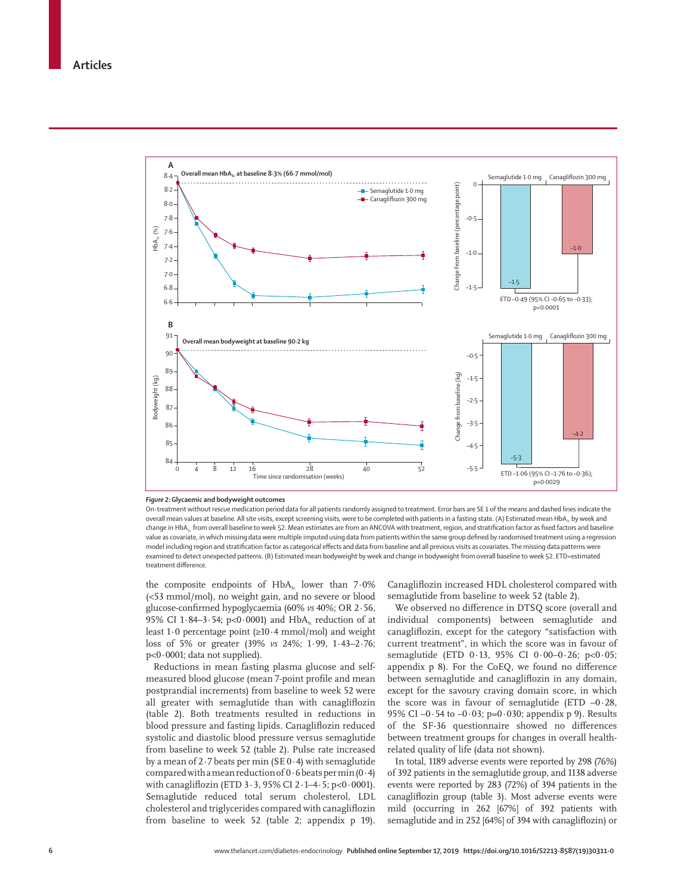

#### *Figure 2:* **Glycaemic and bodyweight outcomes**

On-treatment without rescue medication period data for all patients randomly assigned to treatment. Error bars are SE 1 of the means and dashed lines indicate the overall mean values at baseline. All site visits, except screening visits, were to be completed with patients in a fasting state. (A) Estimated mean HbA, by week and change in HbA<sub>1</sub>, from overall baseline to week 52. Mean estimates are from an ANCOVA with treatment, region, and stratification factor as fixed factors and baseline value as covariate, in which missing data were multiple imputed using data from patients within the same group defined by randomised treatment using a regression model including region and stratification factor as categorical effects and data from baseline and all previous visits as covariates. The missing data patterns were examined to detect unexpected patterns. (B) Estimated mean bodyweight by week and change in bodyweight from overall baseline to week 52. ETD=estimated treatment difference.

the composite endpoints of  $HbA_1$  lower than 7.0% (<53 mmol/mol), no weight gain, and no severe or blood glucose-confirmed hypoglycaemia (60% *vs* 40%; OR 2·56, 95% CI 1·84-3·54; p<0·0001) and  $HbA<sub>1c</sub>$  reduction of at least 1·0 percentage point ( $\geq 10.4$  mmol/mol) and weight loss of 5% or greater (39% *vs* 24%; 1·99, 1·43–2·76; p<0·0001; data not supplied).

Reductions in mean fasting plasma glucose and selfmeasured blood glucose (mean 7-point profile and mean postprandial increments) from baseline to week 52 were all greater with semaglutide than with canagliflozin (table 2). Both treatments resulted in reductions in blood pressure and fasting lipids. Canagliflozin reduced systolic and diastolic blood pressure versus semaglutide from baseline to week 52 (table 2). Pulse rate increased by a mean of 2·7 beats per min (SE 0·4) with semaglutide compared with a mean reduction of  $0.6$  beats per min (0.4) with canagliflozin (ETD 3·3, 95% CI 2·1–4·5; p<0·0001). Semaglutide reduced total serum cholesterol, LDL cholesterol and triglycerides compared with canagliflozin from baseline to week 52 (table 2; appendix p 19). Canagliflozin increased HDL cholesterol compared with semaglutide from baseline to week 52 (table 2).

We observed no difference in DTSQ score (overall and individual components) between semaglutide and canagliflozin, except for the category "satisfaction with current treatment", in which the score was in favour of semaglutide (ETD 0·13, 95% CI 0·00–0·26; p<0·05; appendix p 8). For the CoEQ, we found no difference between semaglutide and canagliflozin in any domain, except for the savoury craving domain score, in which the score was in favour of semaglutide (ETD  $-0.28$ , 95% CI –0 $\cdot$  54 to –0 $\cdot$ 03; p=0 $\cdot$ 030; appendix p 9). Results of the SF-36 questionnaire showed no differences between treatment groups for changes in overall healthrelated quality of life (data not shown).

In total, 1189 adverse events were reported by 298 (76%) of 392 patients in the semaglutide group, and 1138 adverse events were reported by 283 (72%) of 394 patients in the canagliflozin group (table 3). Most adverse events were mild (occurring in 262 [67%] of 392 patients with semaglutide and in 252 [64%] of 394 with canagliflozin) or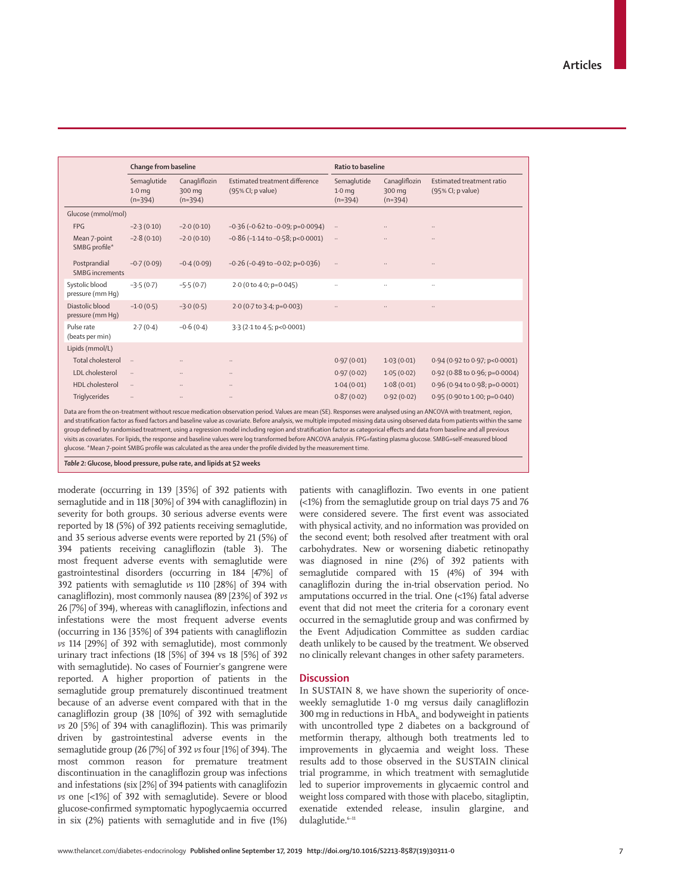|                                        | Change from baseline                 |                                      |                                                     | <b>Ratio to baseline</b>             |                                      |                                                |
|----------------------------------------|--------------------------------------|--------------------------------------|-----------------------------------------------------|--------------------------------------|--------------------------------------|------------------------------------------------|
|                                        | Semaglutide<br>$1.0$ mg<br>$(n=394)$ | Canagliflozin<br>300 mg<br>$(n=394)$ | Estimated treatment difference<br>(95% CI; p value) | Semaglutide<br>$1.0$ mg<br>$(n=394)$ | Canagliflozin<br>300 mg<br>$(n=394)$ | Estimated treatment ratio<br>(95% CI; p value) |
| Glucose (mmol/mol)                     |                                      |                                      |                                                     |                                      |                                      |                                                |
| <b>FPG</b>                             | $-2.3(0.10)$                         | $-2.0(0.10)$                         | $-0.36$ ( $-0.62$ to $-0.09$ ; p=0.0094)            | $\ldots$                             |                                      | $\ldots$                                       |
| Mean 7-point<br>SMBG profile*          | $-2.8(0.10)$                         | $-2.0(0.10)$                         | $-0.86$ ( $-1.14$ to $-0.58$ ; p<0.0001)            | $\ldots$                             |                                      |                                                |
| Postprandial<br><b>SMBG</b> increments | $-0.7(0.09)$                         | $-0.4(0.09)$                         | $-0.26$ ( $-0.49$ to $-0.02$ ; p=0.036)             | $\ldots$                             |                                      | $\ddotsc$                                      |
| Systolic blood<br>pressure (mm Hg)     | $-3.5(0.7)$                          | $-5.5(0.7)$                          | 2.0 (0 to 4.0; $p=0.045$ )                          | $\ddotsc$                            | $\ddotsc$                            | $\ldots$                                       |
| Diastolic blood<br>pressure (mm Hg)    | $-1.0(0.5)$                          | $-3.0(0.5)$                          | 2.0 (0.7 to 3.4; p=0.003)                           |                                      |                                      | $\ddotsc$                                      |
| Pulse rate<br>(beats per min)          | 2.7(0.4)                             | $-0.6(0.4)$                          | 3.3 (2.1 to 4.5; p<0.0001)                          |                                      |                                      |                                                |
| Lipids (mmol/L)                        |                                      |                                      |                                                     |                                      |                                      |                                                |
| Total cholesterol                      | $\ddotsc$                            |                                      | $\ldots$                                            | 0.97(0.01)                           | 1.03(0.01)                           | 0.94 (0.92 to 0.97; p<0.0001)                  |
| LDL cholesterol                        | $\ddots$                             | $\ddotsc$                            | $\ldots$                                            | 0.97(0.02)                           | 1.05(0.02)                           | 0.92 (0.88 to 0.96; p=0.0004)                  |
| <b>HDL</b> cholesterol                 | $\ddots$                             | $\cdots$                             | $\ldots$                                            | 1.04(0.01)                           | 1.08(0.01)                           | 0.96 (0.94 to 0.98; p=0.0001)                  |
| Triglycerides                          | $\ddots$                             | $\ddotsc$                            | $\ldots$                                            | 0.87(0.02)                           | 0.92(0.02)                           | 0.95 (0.90 to 1.00; p=0.040)                   |

and stratification factor as fixed factors and baseline value as covariate. Before analysis, we multiple imputed missing data using observed data from patients within the same group defined by randomised treatment, using a regression model including region and stratification factor as categorical effects and data from baseline and all previous visits as covariates. For lipids, the response and baseline values were log transformed before ANCOVA analysis. FPG=fasting plasma glucose. SMBG=self-measured blood glucose. \*Mean 7-point SMBG profile was calculated as the area under the profile divided by the measurement time.

*Table 2:* **Glucose, blood pressure, pulse rate, and lipids at 52 weeks**

moderate (occurring in 139 [35%] of 392 patients with semaglutide and in 118 [30%] of 394 with canagliflozin) in severity for both groups. 30 serious adverse events were reported by 18 (5%) of 392 patients receiving semaglutide, and 35 serious adverse events were reported by 21 (5%) of 394 patients receiving canagliflozin (table 3). The most frequent adverse events with semaglutide were gastrointestinal disorders (occurring in 184 [47%] of 392 patients with semaglutide *vs* 110 [28%] of 394 with canagliflozin), most commonly nausea (89 [23%] of 392 *vs* 26 [7%] of 394), whereas with canagliflozin, infections and infestations were the most frequent adverse events (occurring in 136 [35%] of 394 patients with canagliflozin *vs* 114 [29%] of 392 with semaglutide), most commonly urinary tract infections (18 [5%] of 394 vs 18 [5%] of 392 with semaglutide). No cases of Fournier's gangrene were reported. A higher proportion of patients in the semaglutide group prematurely discontinued treatment because of an adverse event compared with that in the canagliflozin group (38 [10%] of 392 with semaglutide *vs* 20 [5%] of 394 with canagliflozin). This was primarily driven by gastrointestinal adverse events in the semaglutide group (26 [7%] of 392 *vs* four [1%] of 394). The most common reason for premature treatment discontinuation in the canagliflozin group was infections and infestations (six [2%] of 394 patients with canaglifozin *vs* one [<1%] of 392 with semaglutide). Severe or blood glucose-confirmed symptomatic hypoglycaemia occurred in six (2%) patients with semaglutide and in five (1%)

patients with canagliflozin. Two events in one patient (<1%) from the semaglutide group on trial days 75 and 76 were considered severe. The first event was associated with physical activity, and no information was provided on the second event; both resolved after treatment with oral carbohydrates. New or worsening diabetic retinopathy was diagnosed in nine (2%) of 392 patients with semaglutide compared with 15 (4%) of 394 with canagliflozin during the in-trial observation period. No amputations occurred in the trial. One (<1%) fatal adverse event that did not meet the criteria for a coronary event occurred in the semaglutide group and was confirmed by the Event Adjudication Committee as sudden cardiac death unlikely to be caused by the treatment. We observed no clinically relevant changes in other safety parameters.

# **Discussion**

In SUSTAIN 8, we have shown the superiority of onceweekly semaglutide 1·0 mg versus daily canagliflozin 300 mg in reductions in  $HbA<sub>i</sub>$  and bodyweight in patients with uncontrolled type 2 diabetes on a background of metformin therapy, although both treatments led to improvements in glycaemia and weight loss. These results add to those observed in the SUSTAIN clinical trial programme, in which treatment with semaglutide led to superior improvements in glycaemic control and weight loss compared with those with placebo, sitagliptin, exenatide extended release, insulin glargine, and dulaglutide.<sup>6-11</sup>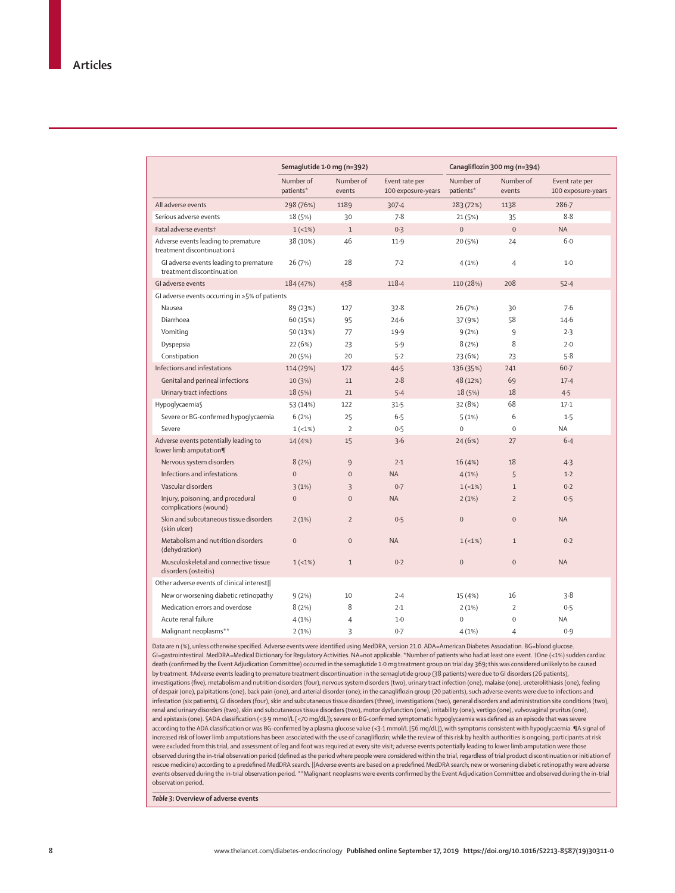|                                                                     | Semaglutide 1.0 mg (n=392) |                     | Canagliflozin 300 mg (n=394)         |                        |                     |                                      |  |  |
|---------------------------------------------------------------------|----------------------------|---------------------|--------------------------------------|------------------------|---------------------|--------------------------------------|--|--|
|                                                                     | Number of<br>patients*     | Number of<br>events | Event rate per<br>100 exposure-years | Number of<br>patients* | Number of<br>events | Event rate per<br>100 exposure-years |  |  |
| All adverse events                                                  | 298 (76%)                  | 1189                | $307 - 4$                            | 283 (72%)              | 1138                | $286 - 7$                            |  |  |
| Serious adverse events                                              | 18 (5%)                    | 30                  | 7.8                                  | 21 (5%)                | 35                  | 8.8                                  |  |  |
| Fatal adverse events <sup>+</sup>                                   | $1(-1%)$                   | $\mathbf{1}$        | 0.3                                  | $\bf 0$                | $\mathbf 0$         | <b>NA</b>                            |  |  |
| Adverse events leading to premature<br>treatment discontinuation‡   | 38 (10%)                   | 46                  | 11.9                                 | 20 (5%)                | 24                  | $6-0$                                |  |  |
| GI adverse events leading to premature<br>treatment discontinuation | 26(7%)                     | 28                  | 7.2                                  | 4(1%)                  | $\overline{4}$      | $1-0$                                |  |  |
| GI adverse events                                                   | 184 (47%)                  | 458                 | 118.4                                | 110 (28%)              | 208                 | $52 - 4$                             |  |  |
| GI adverse events occurring in ≥5% of patients                      |                            |                     |                                      |                        |                     |                                      |  |  |
| Nausea                                                              | 89 (23%)                   | 127                 | 32.8                                 | 26 (7%)                | 30                  | 7.6                                  |  |  |
| Diarrhoea                                                           | 60 (15%)                   | 95                  | 24.6                                 | 37 (9%)                | 58                  | $14 - 6$                             |  |  |
| Vomiting                                                            | 50 (13%)                   | 77                  | 19.9                                 | 9(2%)                  | 9                   | 2.3                                  |  |  |
| Dyspepsia                                                           | 22 (6%)                    | 23                  | 5.9                                  | 8(2%)                  | 8                   | 2.0                                  |  |  |
| Constipation                                                        | 20 (5%)                    | 20                  | 5.2                                  | 23 (6%)                | 23                  | 5.8                                  |  |  |
| Infections and infestations                                         | 114 (29%)                  | 172                 | 44.5                                 | 136 (35%)              | 241                 | $60 - 7$                             |  |  |
| Genital and perineal infections                                     | 10 (3%)                    | 11                  | 2.8                                  | 48 (12%)               | 69                  | $17-4$                               |  |  |
| Urinary tract infections                                            | 18 (5%)                    | 21                  | 5.4                                  | 18 (5%)                | 18                  | 4.5                                  |  |  |
| Hypoglycaemia§                                                      | 53 (14%)                   | 122                 | 31.5                                 | 32(8%)                 | 68                  | $17-1$                               |  |  |
| Severe or BG-confirmed hypoglycaemia                                | 6(2%)                      | 25                  | 6.5                                  | 5(1%)                  | 6                   | 1.5                                  |  |  |
| Severe                                                              | $1(-1%)$                   | $\overline{2}$      | 0.5                                  | $\mathbf 0$            | $\mathbf 0$         | <b>NA</b>                            |  |  |
| Adverse events potentially leading to<br>lower limb amputation¶     | 14 (4%)                    | 15                  | 3.6                                  | 24(6%)                 | 27                  | $6 - 4$                              |  |  |
| Nervous system disorders                                            | 8(2%)                      | 9                   | 2.1                                  | 16(4%)                 | 18                  | 4.3                                  |  |  |
| Infections and infestations                                         | $\overline{0}$             | $\overline{0}$      | <b>NA</b>                            | 4(1%)                  | 5                   | $1-2$                                |  |  |
| Vascular disorders                                                  | 3(1%)                      | 3                   | 0.7                                  | $1(-1%)$               | $1\,$               | 0.2                                  |  |  |
| Injury, poisoning, and procedural<br>complications (wound)          | $\overline{0}$             | $\overline{0}$      | <b>NA</b>                            | 2(1%)                  | $\overline{2}$      | 0.5                                  |  |  |
| Skin and subcutaneous tissue disorders<br>(skin ulcer)              | 2(1%)                      | $\overline{2}$      | 0.5                                  | $\mathbf{0}$           | $\mathbf 0$         | <b>NA</b>                            |  |  |
| Metabolism and nutrition disorders<br>(dehydration)                 | $\overline{0}$             | $\overline{0}$      | <b>NA</b>                            | $1(-1%)$               | $\mathbf{1}$        | 0.2                                  |  |  |
| Musculoskeletal and connective tissue<br>disorders (osteitis)       | $1(-1%)$                   | $\mathbf{1}$        | 0.2                                  | $\mathbf 0$            | $\bf 0$             | <b>NA</b>                            |  |  |
| Other adverse events of clinical interest                           |                            |                     |                                      |                        |                     |                                      |  |  |
| New or worsening diabetic retinopathy                               | 9(2%)                      | 10                  | 2.4                                  | 15 (4%)                | 16                  | 3.8                                  |  |  |
| Medication errors and overdose                                      | 8(2%)                      | 8                   | $2-1$                                | 2(1%)                  | $\overline{2}$      | 0.5                                  |  |  |
| Acute renal failure                                                 | 4(1%)                      | $\overline{4}$      | $1-0$                                | $\mathbf 0$            | $\mathbf{0}$        | <b>NA</b>                            |  |  |
| Malignant neoplasms**                                               | 2(1%)                      | 3                   | 0.7                                  | 4(1%)                  | $\overline{4}$      | 0.9                                  |  |  |

Data are n (%), unless otherwise specified. Adverse events were identified using MedDRA, version 21.0. ADA=American Diabetes Association. BG=blood glucose. GI=gastrointestinal. MedDRA=Medical Dictionary for Regulatory Activities. NA=not applicable. \*Number of patients who had at least one event. †One (<1%) sudden cardiac death (confirmed by the Event Adjudication Committee) occurred in the semaglutide 1·0 mg treatment group on trial day 369; this was considered unlikely to be caused by treatment. ‡Adverse events leading to premature treatment discontinuation in the semaglutide group (38 patients) were due to GI disorders (26 patients), investigations (five), metabolism and nutrition disorders (four), nervous system disorders (two), urinary tract infection (one), malaise (one), ureterolithiasis (one), feeling of despair (one), palpitations (one), back pain (one), and arterial disorder (one); in the canagliflozin group (20 patients), such adverse events were due to infections and infestation (six patients), GI disorders (four), skin and subcutaneous tissue disorders (three), investigations (two), general disorders and administration site conditions (two), renal and urinary disorders (two), skin and subcutaneous tissue disorders (two), motor dysfunction (one), irritability (one), vertigo (one), vulvovaginal pruritus (one), and epistaxis (one). §ADA classification (<3·9 mmol/L [<70 mg/dL]); severe or BG-confirmed symptomatic hypoglycaemia was defined as an episode that was severe according to the ADA classification or was BG-confirmed by a plasma glucose value (<3·1 mmol/L [56 mg/dL]), with symptoms consistent with hypoglycaemia. ¶A signal of increased risk of lower limb amputations has been associated with the use of canagliflozin; while the review of this risk by health authorities is ongoing, participants at risk were excluded from this trial, and assessment of leg and foot was required at every site visit; adverse events potentially leading to lower limb amputation were those observed during the in-trial observation period (defined as the period where people were considered within the trial, regardless of trial product discontinuation or initiation of rescue medicine) according to a predefined MedDRA search. ||Adverse events are based on a predefined MedDRA search; new or worsening diabetic retinopathy were adverse events observed during the in-trial observation period. \*\*Malignant neoplasms were events confirmed by the Event Adjudication Committee and observed during the in-trial observation period.

*Table 3:* **Overview of adverse events**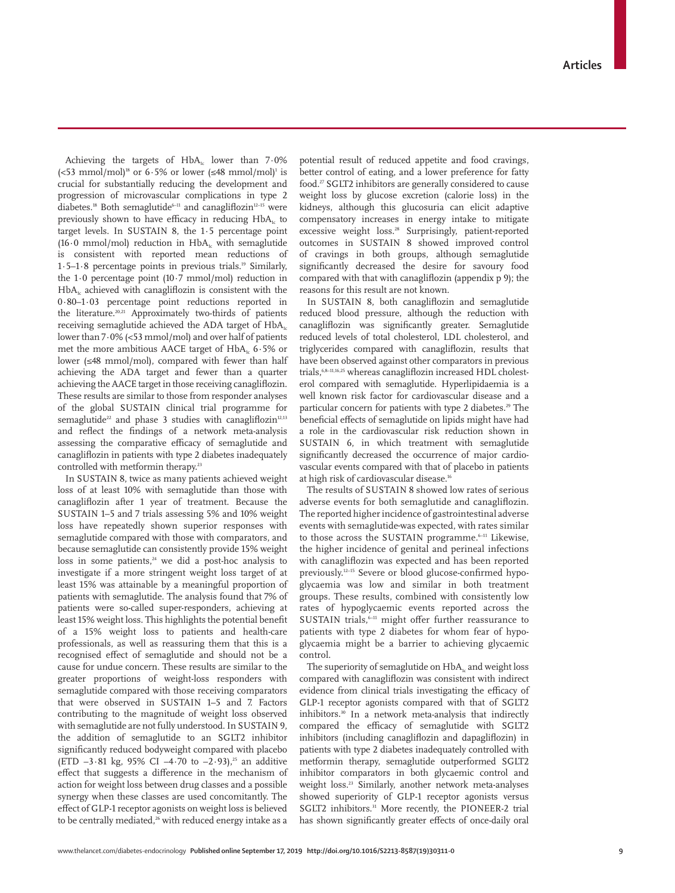Achieving the targets of  $HbA_i$  lower than 7.0%  $(**53** mmol/mol)<sup>18</sup>$  or 6 $\cdot$  5% or lower ( $\leq$ 48 mmol/mol)<sup>1</sup> is crucial for substantially reducing the development and progression of microvascular complications in type 2 diabetes.<sup>18</sup> Both semaglutide<sup>6-11</sup> and canagliflozin<sup>12-15</sup> were previously shown to have efficacy in reducing  $HbA<sub>i</sub>$  to target levels. In SUSTAIN 8, the 1·5 percentage point (16.0 mmol/mol) reduction in  $HbA_i$  with semaglutide is consistent with reported mean reductions of 1·5–1·8 percentage points in previous trials.<sup>19</sup> Similarly, the 1·0 percentage point (10·7 mmol/mol) reduction in  $HbA<sub>k</sub>$  achieved with canagliflozin is consistent with the 0·80–1·03 percentage point reductions reported in the literature.20,21 Approximately two-thirds of patients receiving semaglutide achieved the ADA target of  $HbA_{1c}$ lower than 7·0% (<53 mmol/mol) and over half of patients met the more ambitious AACE target of  $HbA<sub>i</sub>$  6·5% or lower (≤48 mmol/mol), compared with fewer than half achieving the ADA target and fewer than a quarter achieving the AACE target in those receiving canagliflozin. These results are similar to those from responder analyses of the global SUSTAIN clinical trial programme for semaglutide<sup>22</sup> and phase 3 studies with canagliflozin<sup>12,13</sup> and reflect the findings of a network meta-analysis assessing the comparative efficacy of semaglutide and canagliflozin in patients with type 2 diabetes inadequately controlled with metformin therapy.<sup>23</sup>

In SUSTAIN 8, twice as many patients achieved weight loss of at least 10% with semaglutide than those with canagliflozin after 1 year of treatment. Because the SUSTAIN 1–5 and 7 trials assessing 5% and 10% weight loss have repeatedly shown superior responses with semaglutide compared with those with comparators, and because semaglutide can consistently provide 15% weight loss in some patients,<sup>24</sup> we did a post-hoc analysis to investigate if a more stringent weight loss target of at least 15% was attainable by a meaningful proportion of patients with semaglutide. The analysis found that 7% of patients were so-called super-responders, achieving at least 15% weight loss. This highlights the potential benefit of a 15% weight loss to patients and health-care professionals, as well as reassuring them that this is a recognised effect of semaglutide and should not be a cause for undue concern. These results are similar to the greater proportions of weight-loss responders with semaglutide compared with those receiving comparators that were observed in SUSTAIN 1–5 and 7. Factors contributing to the magnitude of weight loss observed with semaglutide are not fully understood. In SUSTAIN 9, the addition of semaglutide to an SGLT2 inhibitor significantly reduced bodyweight compared with placebo (ETD −3·81 kg, 95% CI −4·70 to −2·93),25 an additive effect that suggests a difference in the mechanism of action for weight loss between drug classes and a possible synergy when these classes are used concomitantly. The effect of GLP-1 receptor agonists on weight loss is believed to be centrally mediated,<sup>26</sup> with reduced energy intake as a potential result of reduced appetite and food cravings, better control of eating, and a lower preference for fatty food.<sup>27</sup> SGLT2 inhibitors are generally considered to cause weight loss by glucose excretion (calorie loss) in the kidneys, although this glucosuria can elicit adaptive compensatory increases in energy intake to mitigate excessive weight loss.<sup>28</sup> Surprisingly, patient-reported outcomes in SUSTAIN 8 showed improved control of cravings in both groups, although semaglutide significantly decreased the desire for savoury food compared with that with canagliflozin (appendix p 9); the reasons for this result are not known.

In SUSTAIN 8, both canagliflozin and semaglutide reduced blood pressure, although the reduction with canagliflozin was significantly greater. Semaglutide reduced levels of total cholesterol, LDL cholesterol, and triglycerides compared with canagliflozin, results that have been observed against other comparators in previous trials,6,8–11,16,25 whereas canagliflozin increased HDL cholesterol compared with semaglutide. Hyperlipidaemia is a well known risk factor for cardiovascular disease and a particular concern for patients with type 2 diabetes.<sup>29</sup> The beneficial effects of semaglutide on lipids might have had a role in the cardiovascular risk reduction shown in SUSTAIN 6, in which treatment with semaglutide significantly decreased the occurrence of major cardiovascular events compared with that of placebo in patients at high risk of cardiovascular disease.<sup>16</sup>

The results of SUSTAIN 8 showed low rates of serious adverse events for both semaglutide and canagliflozin. The reported higher incidence of gastrointestinal adverse events with semaglutide was expected, with rates similar to those across the SUSTAIN programme.<sup>6-11</sup> Likewise, the higher incidence of genital and perineal infections with canagliflozin was expected and has been reported previously.12–15 Severe or blood glucose-confirmed hypoglycaemia was low and similar in both treatment groups. These results, combined with consistently low rates of hypoglycaemic events reported across the SUSTAIN trials,<sup>6-11</sup> might offer further reassurance to patients with type 2 diabetes for whom fear of hypoglycaemia might be a barrier to achieving glycaemic control.

The superiority of semaglutide on  $HbA<sub>16</sub>$  and weight loss compared with canagliflozin was consistent with indirect evidence from clinical trials investigating the efficacy of GLP-1 receptor agonists compared with that of SGLT2 inhibitors.<sup>30</sup> In a network meta-analysis that indirectly compared the efficacy of semaglutide with SGLT2 inhibitors (including canagliflozin and dapagliflozin) in patients with type 2 diabetes inadequately controlled with metformin therapy, semaglutide outperformed SGLT2 inhibitor comparators in both glycaemic control and weight loss.<sup>23</sup> Similarly, another network meta-analyses showed superiority of GLP-1 receptor agonists versus SGLT2 inhibitors.<sup>31</sup> More recently, the PIONEER-2 trial has shown significantly greater effects of once-daily oral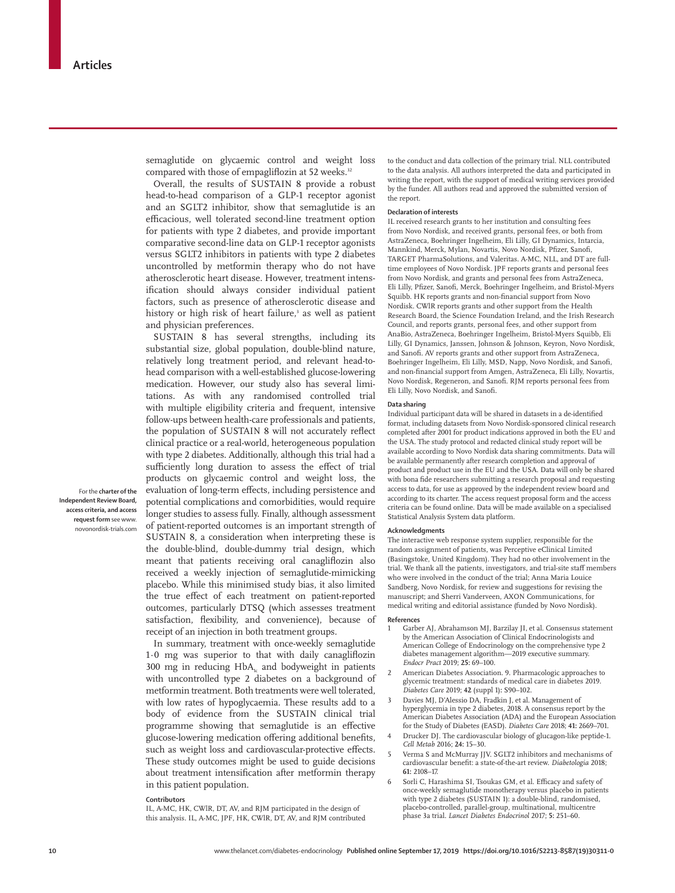semaglutide on glycaemic control and weight loss compared with those of empagliflozin at 52 weeks.<sup>32</sup>

Overall, the results of SUSTAIN 8 provide a robust head-to-head comparison of a GLP-1 receptor agonist and an SGLT2 inhibitor, show that semaglutide is an efficacious, well tolerated second-line treatment option for patients with type 2 diabetes, and provide important comparative second-line data on GLP-1 receptor agonists versus SGLT2 inhibitors in patients with type 2 diabetes uncontrolled by metformin therapy who do not have atherosclerotic heart disease. However, treatment intensification should always consider individual patient factors, such as presence of atherosclerotic disease and history or high risk of heart failure,<sup>3</sup> as well as patient and physician preferences.

SUSTAIN 8 has several strengths, including its substantial size, global population, double-blind nature, relatively long treatment period, and relevant head-tohead comparison with a well-established glucose-lowering medication. However, our study also has several limitations. As with any randomised controlled trial with multiple eligibility criteria and frequent, intensive follow-ups between health-care professionals and patients, the population of SUSTAIN 8 will not accurately reflect clinical practice or a real-world, heterogeneous population with type 2 diabetes. Additionally, although this trial had a sufficiently long duration to assess the effect of trial products on glycaemic control and weight loss, the evaluation of long-term effects, including persistence and potential complications and comorbidities, would require longer studies to assess fully. Finally, although assessment of patient-reported outcomes is an important strength of SUSTAIN 8, a consideration when interpreting these is the double-blind, double-dummy trial design, which meant that patients receiving oral canagliflozin also received a weekly injection of semaglutide-mimicking placebo. While this minimised study bias, it also limited the true effect of each treatment on patient-reported outcomes, particularly DTSQ (which assesses treatment satisfaction, flexibility, and convenience), because of receipt of an injection in both treatment groups.

For the **charter of the Independent Review Board, access criteria, and access request form** see www. novonordisk-trials.com

> In summary, treatment with once-weekly semaglutide 1·0 mg was superior to that with daily canagliflozin 300 mg in reducing  $HbA<sub>i</sub>$  and bodyweight in patients with uncontrolled type 2 diabetes on a background of metformin treatment. Both treatments were well tolerated, with low rates of hypoglycaemia. These results add to a body of evidence from the SUSTAIN clinical trial programme showing that semaglutide is an effective glucose-lowering medication offering additional benefits, such as weight loss and cardiovascular-protective effects. These study outcomes might be used to guide decisions about treatment intensification after metformin therapy in this patient population.

### **Contributors**

IL, A-MC, HK, CWlR, DT, AV, and RJM participated in the design of this analysis. IL, A-MC, JPF, HK, CWlR, DT, AV, and RJM contributed to the conduct and data collection of the primary trial. NLL contributed to the data analysis. All authors interpreted the data and participated in writing the report, with the support of medical writing services provided by the funder. All authors read and approved the submitted version of the report.

#### **Declaration of interests**

IL received research grants to her institution and consulting fees from Novo Nordisk, and received grants, personal fees, or both from AstraZeneca, Boehringer Ingelheim, Eli Lilly, GI Dynamics, Intarcia, Mannkind, Merck, Mylan, Novartis, Novo Nordisk, Pfizer, Sanofi, TARGET PharmaSolutions, and Valeritas. A-MC, NLL, and DT are fulltime employees of Novo Nordisk. JPF reports grants and personal fees from Novo Nordisk, and grants and personal fees from AstraZeneca, Eli Lilly, Pfizer, Sanofi, Merck, Boehringer Ingelheim, and Bristol-Myers Squibb. HK reports grants and non-financial support from Novo Nordisk. CWlR reports grants and other support from the Health Research Board, the Science Foundation Ireland, and the Irish Research Council, and reports grants, personal fees, and other support from AnaBio, AstraZeneca, Boehringer Ingelheim, Bristol-Myers Squibb, Eli Lilly, GI Dynamics, Janssen, Johnson & Johnson, Keyron, Novo Nordisk, and Sanofi. AV reports grants and other support from AstraZeneca, Boehringer Ingelheim, Eli Lilly, MSD, Napp, Novo Nordisk, and Sanofi, and non-financial support from Amgen, AstraZeneca, Eli Lilly, Novartis, Novo Nordisk, Regeneron, and Sanofi. RJM reports personal fees from Eli Lilly, Novo Nordisk, and Sanofi.

#### **Data sharing**

Individual participant data will be shared in datasets in a de-identified format, including datasets from Novo Nordisk-sponsored clinical research completed after 2001 for product indications approved in both the EU and the USA. The study protocol and redacted clinical study report will be available according to Novo Nordisk data sharing commitments. Data will be available permanently after research completion and approval of product and product use in the EU and the USA. Data will only be shared with bona fide researchers submitting a research proposal and requesting access to data, for use as approved by the independent review board and according to its charter. The access request proposal form and the access criteria can be found online. Data will be made available on a specialised Statistical Analysis System data platform.

#### **Acknowledgments**

The interactive web response system supplier, responsible for the random assignment of patients, was Perceptive eClinical Limited (Basingstoke, United Kingdom). They had no other involvement in the trial. We thank all the patients, investigators, and trial-site staff members who were involved in the conduct of the trial; Anna Maria Louice Sandberg, Novo Nordisk, for review and suggestions for revising the manuscript; and Sherri Vanderveen, AXON Communications, for medical writing and editorial assistance (funded by Novo Nordisk).

#### **References**

- 1 Garber AJ, Abrahamson MJ, Barzilay JI, et al. Consensus statement by the American Association of Clinical Endocrinologists and American College of Endocrinology on the comprehensive type 2 diabetes management algorithm—2019 executive summary. *Endocr Pract* 2019; **25:** 69–100.
- 2 American Diabetes Association. 9. Pharmacologic approaches to glycemic treatment: standards of medical care in diabetes 2019. *Diabetes Care* 2019; **42** (suppl 1)**:** S90–102.
- 3 Davies MJ, D'Alessio DA, Fradkin J, et al. Management of hyperglycemia in type 2 diabetes, 2018. A consensus report by the American Diabetes Association (ADA) and the European Association for the Study of Diabetes (EASD). *Diabetes Care* 2018; **41:** 2669–701.
- 4 Drucker DJ. The cardiovascular biology of glucagon-like peptide-1. *Cell Metab* 2016; **24:** 15–30.
- 5 Verma S and McMurray JJV. SGLT2 inhibitors and mechanisms of cardiovascular benefit: a state-of-the-art review. *Diabetologia* 2018; **61:** 2108–17.
- 6 Sorli C, Harashima SI, Tsoukas GM, et al. Efficacy and safety of once-weekly semaglutide monotherapy versus placebo in patients with type 2 diabetes (SUSTAIN 1): a double-blind, randomised, placebo-controlled, parallel-group, multinational, multicentre phase 3a trial. *Lancet Diabetes Endocrinol* 2017; **5:** 251–60.